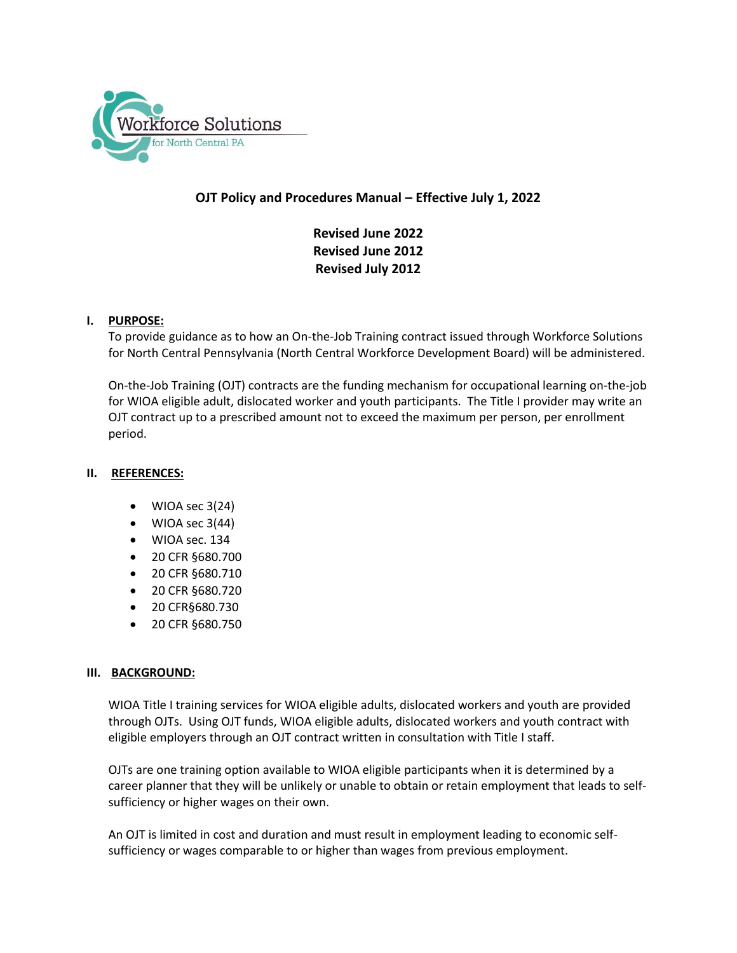

# **OJT Policy and Procedures Manual – Effective July 1, 2022**

**Revised June 2022 Revised June 2012 Revised July 2012**

## **I. PURPOSE:**

To provide guidance as to how an On-the-Job Training contract issued through Workforce Solutions for North Central Pennsylvania (North Central Workforce Development Board) will be administered.

On-the-Job Training (OJT) contracts are the funding mechanism for occupational learning on-the-job for WIOA eligible adult, dislocated worker and youth participants. The Title I provider may write an OJT contract up to a prescribed amount not to exceed the maximum per person, per enrollment period.

#### **II. REFERENCES:**

- WIOA sec 3(24)
- WIOA sec 3(44)
- WIOA sec. 134
- 20 CFR §680.700
- 20 CFR §680.710
- 20 CFR §680.720
- 20 CFR§680.730
- 20 CFR §680.750

#### **III. BACKGROUND:**

WIOA Title I training services for WIOA eligible adults, dislocated workers and youth are provided through OJTs. Using OJT funds, WIOA eligible adults, dislocated workers and youth contract with eligible employers through an OJT contract written in consultation with Title I staff.

OJTs are one training option available to WIOA eligible participants when it is determined by a career planner that they will be unlikely or unable to obtain or retain employment that leads to selfsufficiency or higher wages on their own.

An OJT is limited in cost and duration and must result in employment leading to economic selfsufficiency or wages comparable to or higher than wages from previous employment.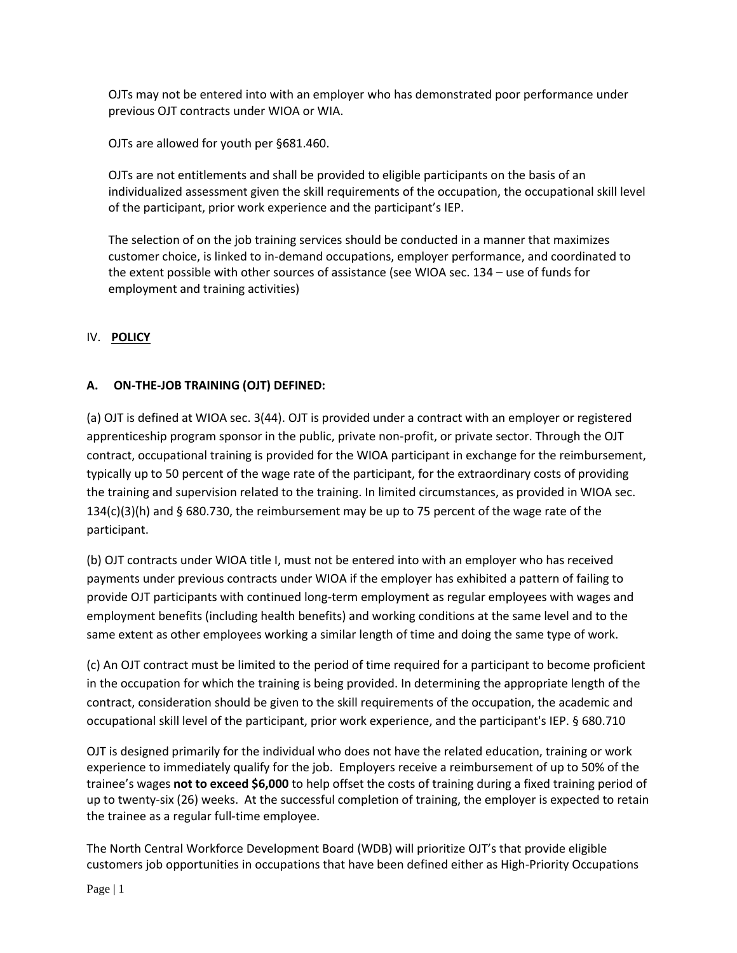OJTs may not be entered into with an employer who has demonstrated poor performance under previous OJT contracts under WIOA or WIA.

OJTs are allowed for youth per §681.460.

OJTs are not entitlements and shall be provided to eligible participants on the basis of an individualized assessment given the skill requirements of the occupation, the occupational skill level of the participant, prior work experience and the participant's IEP.

The selection of on the job training services should be conducted in a manner that maximizes customer choice, is linked to in-demand occupations, employer performance, and coordinated to the extent possible with other sources of assistance (see WIOA sec. 134 – use of funds for employment and training activities)

# IV. **POLICY**

# **A. ON-THE-JOB TRAINING (OJT) DEFINED:**

(a) OJT is defined at WIOA sec. 3(44). OJT is provided under a contract with an employer or registered apprenticeship program sponsor in the public, private non-profit, or private sector. Through the OJT contract, occupational training is provided for the WIOA participant in exchange for the reimbursement, typically up to 50 percent of the wage rate of the participant, for the extraordinary costs of providing the training and supervision related to the training. In limited circumstances, as provided in WIOA sec.  $134(c)(3)(h)$  and § 680.730, the reimbursement may be up to 75 percent of the wage rate of the participant.

(b) OJT contracts under WIOA title I, must not be entered into with an employer who has received payments under previous contracts under WIOA if the employer has exhibited a pattern of failing to provide OJT participants with continued long-term employment as regular employees with wages and employment benefits (including health benefits) and working conditions at the same level and to the same extent as other employees working a similar length of time and doing the same type of work.

(c) An OJT contract must be limited to the period of time required for a participant to become proficient in the occupation for which the training is being provided. In determining the appropriate length of the contract, consideration should be given to the skill requirements of the occupation, the academic and occupational skill level of the participant, prior work experience, and the participant's IEP. § 680.710

OJT is designed primarily for the individual who does not have the related education, training or work experience to immediately qualify for the job. Employers receive a reimbursement of up to 50% of the trainee's wages **not to exceed \$6,000** to help offset the costs of training during a fixed training period of up to twenty-six (26) weeks. At the successful completion of training, the employer is expected to retain the trainee as a regular full-time employee.

The North Central Workforce Development Board (WDB) will prioritize OJT's that provide eligible customers job opportunities in occupations that have been defined either as High-Priority Occupations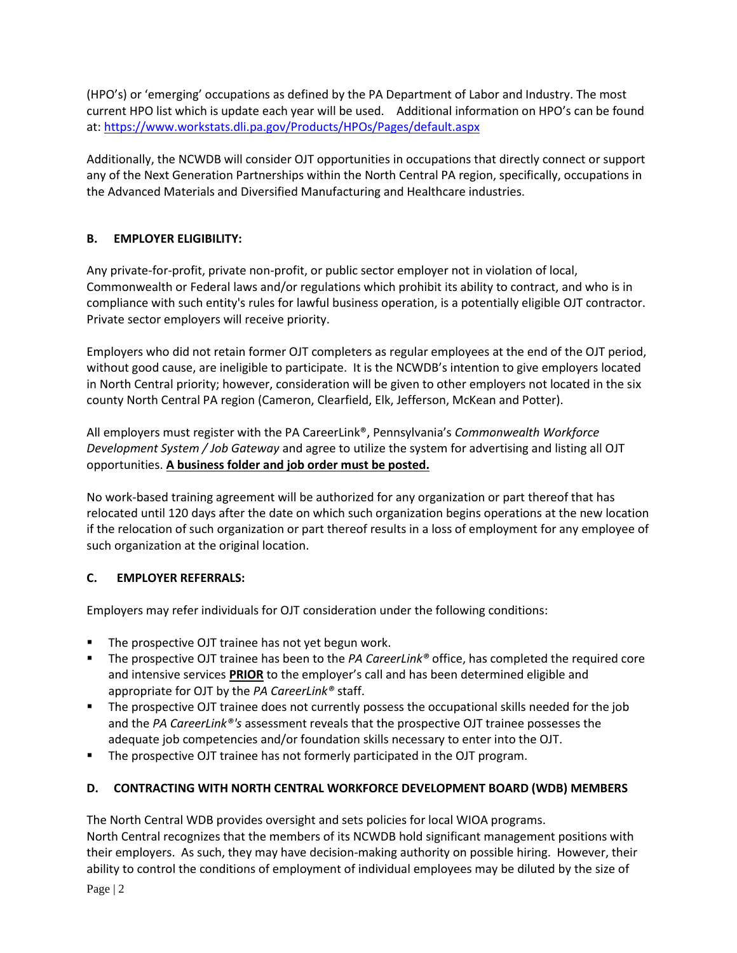(HPO's) or 'emerging' occupations as defined by the PA Department of Labor and Industry. The most current HPO list which is update each year will be used. Additional information on HPO's can be found at:<https://www.workstats.dli.pa.gov/Products/HPOs/Pages/default.aspx>

Additionally, the NCWDB will consider OJT opportunities in occupations that directly connect or support any of the Next Generation Partnerships within the North Central PA region, specifically, occupations in the Advanced Materials and Diversified Manufacturing and Healthcare industries.

# **B. EMPLOYER ELIGIBILITY:**

Any private-for-profit, private non-profit, or public sector employer not in violation of local, Commonwealth or Federal laws and/or regulations which prohibit its ability to contract, and who is in compliance with such entity's rules for lawful business operation, is a potentially eligible OJT contractor. Private sector employers will receive priority.

Employers who did not retain former OJT completers as regular employees at the end of the OJT period, without good cause, are ineligible to participate. It is the NCWDB's intention to give employers located in North Central priority; however, consideration will be given to other employers not located in the six county North Central PA region (Cameron, Clearfield, Elk, Jefferson, McKean and Potter).

All employers must register with the PA CareerLink®, Pennsylvania's *Commonwealth Workforce Development System / Job Gateway* and agree to utilize the system for advertising and listing all OJT opportunities. **A business folder and job order must be posted.**

No work-based training agreement will be authorized for any organization or part thereof that has relocated until 120 days after the date on which such organization begins operations at the new location if the relocation of such organization or part thereof results in a loss of employment for any employee of such organization at the original location.

# **C. EMPLOYER REFERRALS:**

Employers may refer individuals for OJT consideration under the following conditions:

- **The prospective OJT trainee has not yet begun work.**
- The prospective OJT trainee has been to the *PA CareerLink®* office, has completed the required core and intensive services **PRIOR** to the employer's call and has been determined eligible and appropriate for OJT by the *PA CareerLink®* staff.
- The prospective OJT trainee does not currently possess the occupational skills needed for the job and the *PA CareerLink®'s* assessment reveals that the prospective OJT trainee possesses the adequate job competencies and/or foundation skills necessary to enter into the OJT.
- The prospective OJT trainee has not formerly participated in the OJT program.

# **D. CONTRACTING WITH NORTH CENTRAL WORKFORCE DEVELOPMENT BOARD (WDB) MEMBERS**

The North Central WDB provides oversight and sets policies for local WIOA programs. North Central recognizes that the members of its NCWDB hold significant management positions with their employers. As such, they may have decision-making authority on possible hiring. However, their ability to control the conditions of employment of individual employees may be diluted by the size of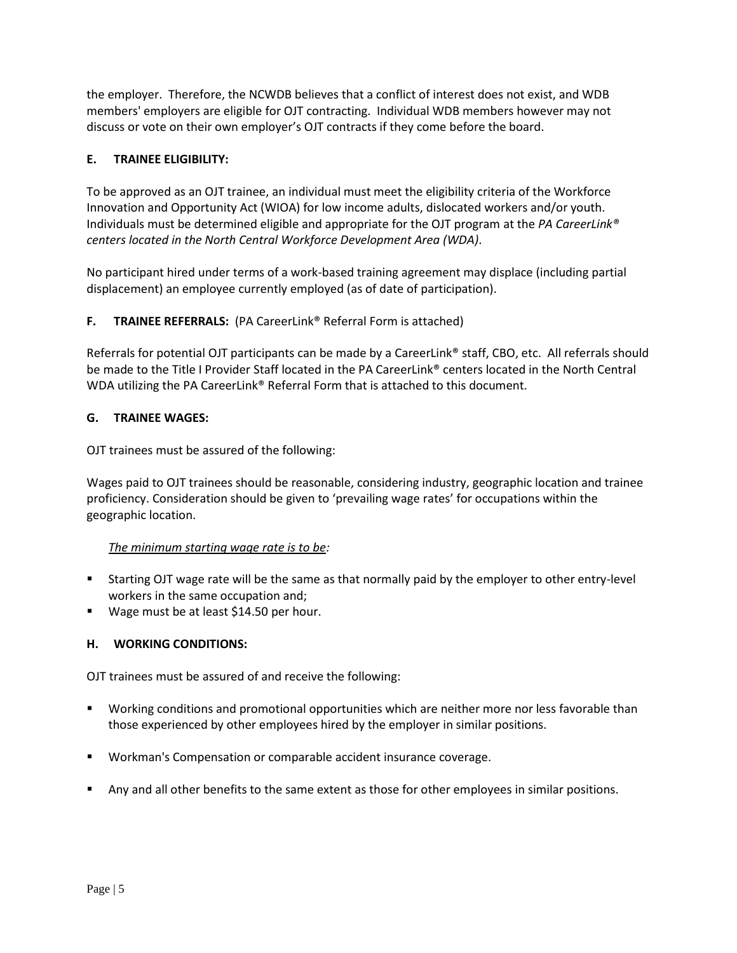the employer. Therefore, the NCWDB believes that a conflict of interest does not exist, and WDB members' employers are eligible for OJT contracting. Individual WDB members however may not discuss or vote on their own employer's OJT contracts if they come before the board.

## **E. TRAINEE ELIGIBILITY:**

To be approved as an OJT trainee, an individual must meet the eligibility criteria of the Workforce Innovation and Opportunity Act (WIOA) for low income adults, dislocated workers and/or youth. Individuals must be determined eligible and appropriate for the OJT program at the *PA CareerLink® centers located in the North Central Workforce Development Area (WDA)*.

No participant hired under terms of a work-based training agreement may displace (including partial displacement) an employee currently employed (as of date of participation).

## **F. TRAINEE REFERRALS:** (PA CareerLink® Referral Form is attached)

Referrals for potential OJT participants can be made by a CareerLink® staff, CBO, etc. All referrals should be made to the Title I Provider Staff located in the PA CareerLink® centers located in the North Central WDA utilizing the PA CareerLink® Referral Form that is attached to this document.

#### **G. TRAINEE WAGES:**

OJT trainees must be assured of the following:

Wages paid to OJT trainees should be reasonable, considering industry, geographic location and trainee proficiency. Consideration should be given to 'prevailing wage rates' for occupations within the geographic location.

#### *The minimum starting wage rate is to be:*

- Starting OJT wage rate will be the same as that normally paid by the employer to other entry-level workers in the same occupation and;
- Wage must be at least \$14.50 per hour.

#### **H. WORKING CONDITIONS:**

OJT trainees must be assured of and receive the following:

- Working conditions and promotional opportunities which are neither more nor less favorable than those experienced by other employees hired by the employer in similar positions.
- **Workman's Compensation or comparable accident insurance coverage.**
- **Any and all other benefits to the same extent as those for other employees in similar positions.**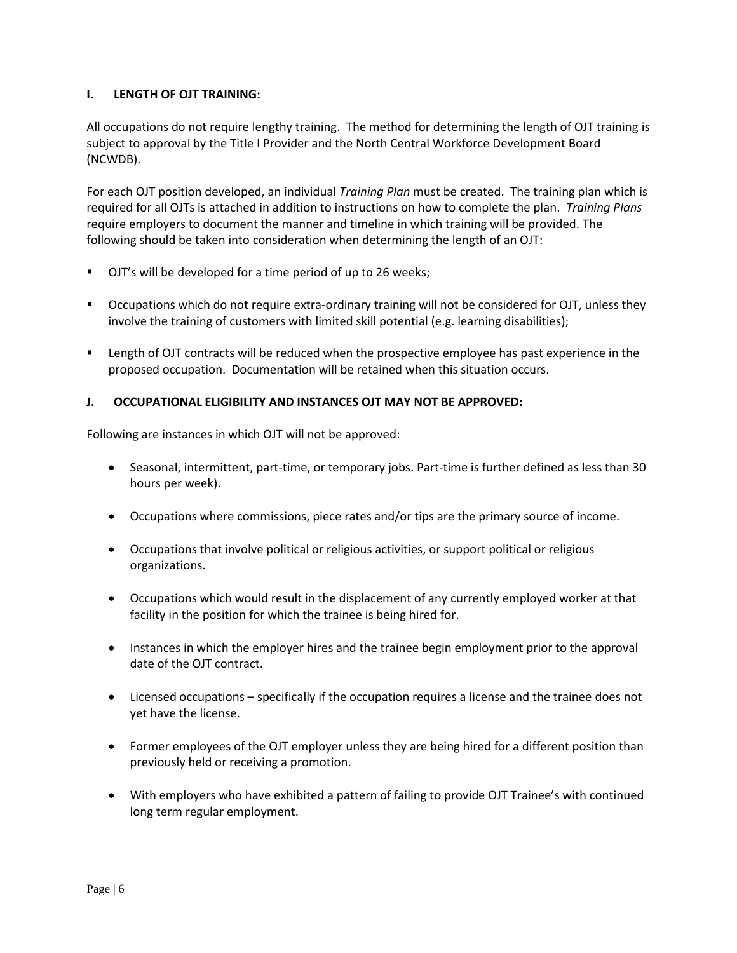#### **I. LENGTH OF OJT TRAINING:**

All occupations do not require lengthy training. The method for determining the length of OJT training is subject to approval by the Title I Provider and the North Central Workforce Development Board (NCWDB).

For each OJT position developed, an individual *Training Plan* must be created. The training plan which is required for all OJTs is attached in addition to instructions on how to complete the plan. *Training Plans* require employers to document the manner and timeline in which training will be provided. The following should be taken into consideration when determining the length of an OJT:

- **DJT's will be developed for a time period of up to 26 weeks;**
- Occupations which do not require extra-ordinary training will not be considered for OJT, unless they involve the training of customers with limited skill potential (e.g. learning disabilities);
- **EXECT LENGTH ON COLOGET CONTEGT AT A LET A** Length of OJT contracts will be reduced when the prospective employee has past experience in the proposed occupation. Documentation will be retained when this situation occurs.

#### **J. OCCUPATIONAL ELIGIBILITY AND INSTANCES OJT MAY NOT BE APPROVED:**

Following are instances in which OJT will not be approved:

- Seasonal, intermittent, part-time, or temporary jobs. Part-time is further defined as less than 30 hours per week).
- Occupations where commissions, piece rates and/or tips are the primary source of income.
- Occupations that involve political or religious activities, or support political or religious organizations.
- Occupations which would result in the displacement of any currently employed worker at that facility in the position for which the trainee is being hired for.
- Instances in which the employer hires and the trainee begin employment prior to the approval date of the OJT contract.
- Licensed occupations specifically if the occupation requires a license and the trainee does not yet have the license.
- Former employees of the OJT employer unless they are being hired for a different position than previously held or receiving a promotion.
- With employers who have exhibited a pattern of failing to provide OJT Trainee's with continued long term regular employment.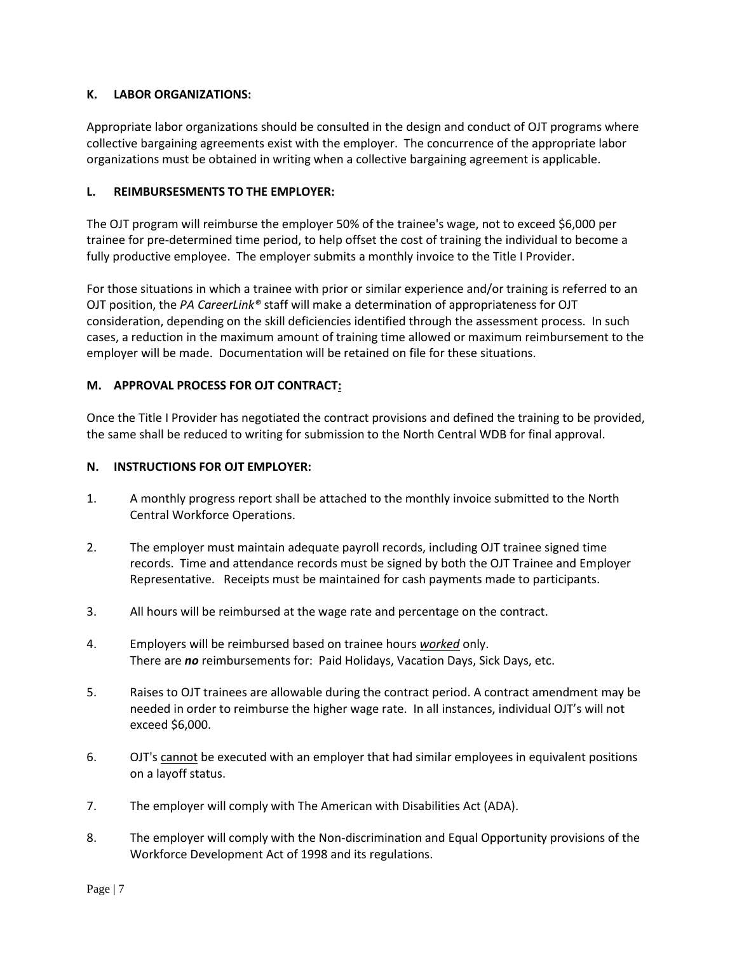## **K. LABOR ORGANIZATIONS:**

Appropriate labor organizations should be consulted in the design and conduct of OJT programs where collective bargaining agreements exist with the employer. The concurrence of the appropriate labor organizations must be obtained in writing when a collective bargaining agreement is applicable.

## **L. REIMBURSESMENTS TO THE EMPLOYER:**

The OJT program will reimburse the employer 50% of the trainee's wage, not to exceed \$6,000 per trainee for pre-determined time period, to help offset the cost of training the individual to become a fully productive employee. The employer submits a monthly invoice to the Title I Provider.

For those situations in which a trainee with prior or similar experience and/or training is referred to an OJT position, the *PA CareerLink®* staff will make a determination of appropriateness for OJT consideration, depending on the skill deficiencies identified through the assessment process. In such cases, a reduction in the maximum amount of training time allowed or maximum reimbursement to the employer will be made. Documentation will be retained on file for these situations.

## **M. APPROVAL PROCESS FOR OJT CONTRACT:**

Once the Title I Provider has negotiated the contract provisions and defined the training to be provided, the same shall be reduced to writing for submission to the North Central WDB for final approval.

#### **N. INSTRUCTIONS FOR OJT EMPLOYER:**

- 1. A monthly progress report shall be attached to the monthly invoice submitted to the North Central Workforce Operations.
- 2. The employer must maintain adequate payroll records, including OJT trainee signed time records. Time and attendance records must be signed by both the OJT Trainee and Employer Representative. Receipts must be maintained for cash payments made to participants.
- 3. All hours will be reimbursed at the wage rate and percentage on the contract.
- 4. Employers will be reimbursed based on trainee hours *worked* only. There are *no* reimbursements for: Paid Holidays, Vacation Days, Sick Days, etc.
- 5. Raises to OJT trainees are allowable during the contract period. A contract amendment may be needed in order to reimburse the higher wage rate. In all instances, individual OJT's will not exceed \$6,000.
- 6. OJT's cannot be executed with an employer that had similar employees in equivalent positions on a layoff status.
- 7. The employer will comply with The American with Disabilities Act (ADA).
- 8. The employer will comply with the Non-discrimination and Equal Opportunity provisions of the Workforce Development Act of 1998 and its regulations.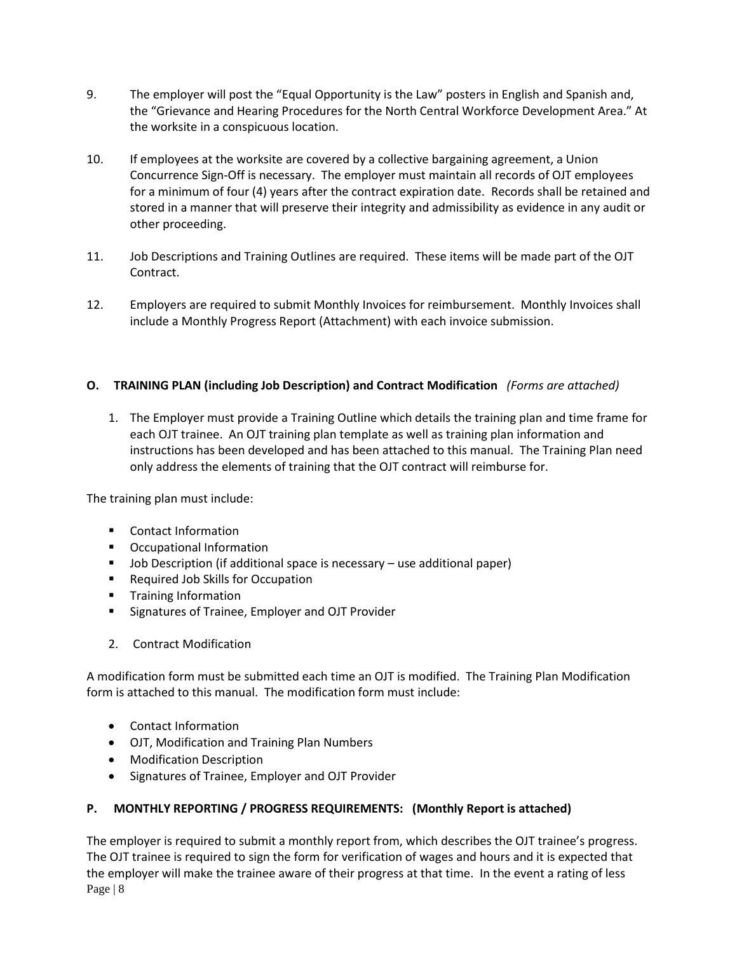- 9. The employer will post the "Equal Opportunity is the Law" posters in English and Spanish and, the "Grievance and Hearing Procedures for the North Central Workforce Development Area." At the worksite in a conspicuous location.
- 10. If employees at the worksite are covered by a collective bargaining agreement, a Union Concurrence Sign-Off is necessary. The employer must maintain all records of OJT employees for a minimum of four (4) years after the contract expiration date. Records shall be retained and stored in a manner that will preserve their integrity and admissibility as evidence in any audit or other proceeding.
- 11. Job Descriptions and Training Outlines are required. These items will be made part of the OJT Contract.
- 12. Employers are required to submit Monthly Invoices for reimbursement. Monthly Invoices shall include a Monthly Progress Report (Attachment) with each invoice submission.

# **O. TRAINING PLAN (including Job Description) and Contract Modification** *(Forms are attached)*

1. The Employer must provide a Training Outline which details the training plan and time frame for each OJT trainee. An OJT training plan template as well as training plan information and instructions has been developed and has been attached to this manual. The Training Plan need only address the elements of training that the OJT contract will reimburse for.

The training plan must include:

- **Contact Information**
- **•** Occupational Information
- Job Description (if additional space is necessary use additional paper)
- **Required Job Skills for Occupation**
- **Training Information**
- **Signatures of Trainee, Employer and OJT Provider**
- 2. Contract Modification

A modification form must be submitted each time an OJT is modified. The Training Plan Modification form is attached to this manual. The modification form must include:

- Contact Information
- OJT, Modification and Training Plan Numbers
- Modification Description
- Signatures of Trainee, Employer and OJT Provider

#### **P. MONTHLY REPORTING / PROGRESS REQUIREMENTS: (Monthly Report is attached)**

Page | 8 The employer is required to submit a monthly report from, which describes the OJT trainee's progress. The OJT trainee is required to sign the form for verification of wages and hours and it is expected that the employer will make the trainee aware of their progress at that time. In the event a rating of less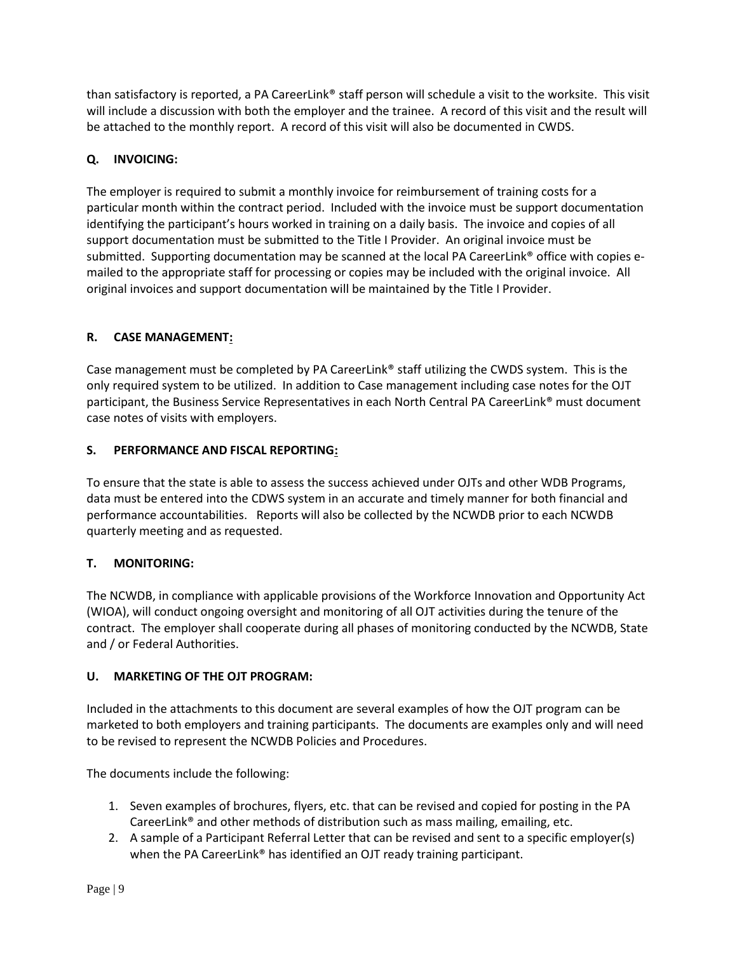than satisfactory is reported, a PA CareerLink® staff person will schedule a visit to the worksite. This visit will include a discussion with both the employer and the trainee. A record of this visit and the result will be attached to the monthly report. A record of this visit will also be documented in CWDS.

# **Q. INVOICING:**

The employer is required to submit a monthly invoice for reimbursement of training costs for a particular month within the contract period. Included with the invoice must be support documentation identifying the participant's hours worked in training on a daily basis. The invoice and copies of all support documentation must be submitted to the Title I Provider. An original invoice must be submitted. Supporting documentation may be scanned at the local PA CareerLink® office with copies emailed to the appropriate staff for processing or copies may be included with the original invoice. All original invoices and support documentation will be maintained by the Title I Provider.

# **R. CASE MANAGEMENT:**

Case management must be completed by PA CareerLink® staff utilizing the CWDS system. This is the only required system to be utilized. In addition to Case management including case notes for the OJT participant, the Business Service Representatives in each North Central PA CareerLink® must document case notes of visits with employers.

# **S. PERFORMANCE AND FISCAL REPORTING:**

To ensure that the state is able to assess the success achieved under OJTs and other WDB Programs, data must be entered into the CDWS system in an accurate and timely manner for both financial and performance accountabilities. Reports will also be collected by the NCWDB prior to each NCWDB quarterly meeting and as requested.

# **T. MONITORING:**

The NCWDB, in compliance with applicable provisions of the Workforce Innovation and Opportunity Act (WIOA), will conduct ongoing oversight and monitoring of all OJT activities during the tenure of the contract. The employer shall cooperate during all phases of monitoring conducted by the NCWDB, State and / or Federal Authorities.

#### **U. MARKETING OF THE OJT PROGRAM:**

Included in the attachments to this document are several examples of how the OJT program can be marketed to both employers and training participants. The documents are examples only and will need to be revised to represent the NCWDB Policies and Procedures.

The documents include the following:

- 1. Seven examples of brochures, flyers, etc. that can be revised and copied for posting in the PA CareerLink® and other methods of distribution such as mass mailing, emailing, etc.
- 2. A sample of a Participant Referral Letter that can be revised and sent to a specific employer(s) when the PA CareerLink<sup>®</sup> has identified an OJT ready training participant.